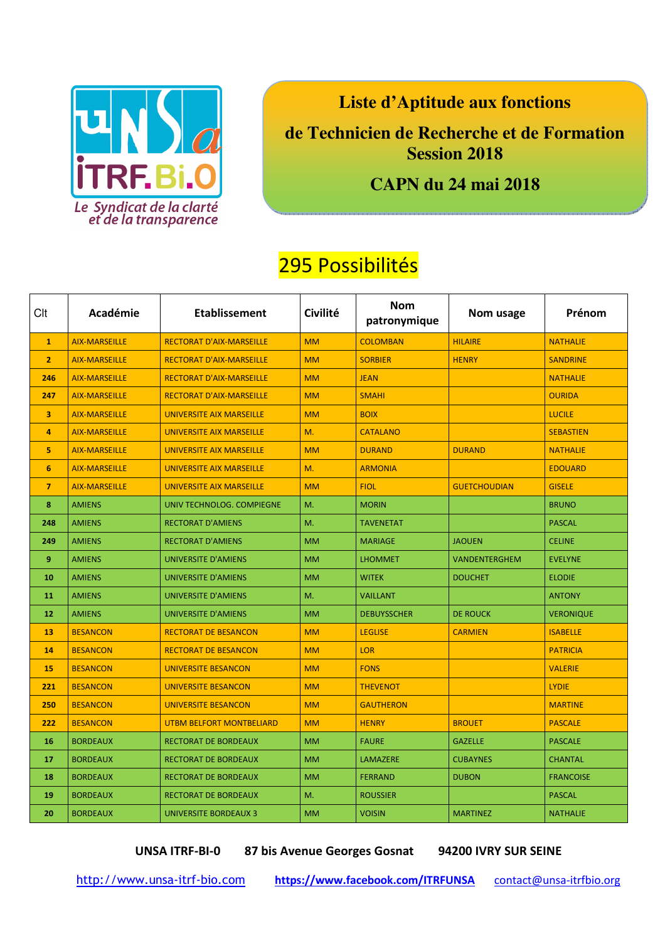

**Liste d'Aptitude aux fonctions** 

**de Technicien de Recherche et de Formation Session 2018** 

## **CAPN du 24 mai 2018**

## 295 Possibilités

| Clt            | Académie             | <b>Etablissement</b>            | Civilité  | <b>Nom</b><br>patronymique | Nom usage           | Prénom           |
|----------------|----------------------|---------------------------------|-----------|----------------------------|---------------------|------------------|
| $\mathbf{1}$   | <b>AIX-MARSEILLE</b> | <b>RECTORAT D'AIX-MARSEILLE</b> | <b>MM</b> | <b>COLOMBAN</b>            | <b>HILAIRE</b>      | <b>NATHALIE</b>  |
| $\overline{2}$ | <b>AIX-MARSEILLE</b> | <b>RECTORAT D'AIX-MARSEILLE</b> | <b>MM</b> | <b>SORBIER</b>             | <b>HENRY</b>        | <b>SANDRINE</b>  |
| 246            | <b>AIX-MARSEILLE</b> | <b>RECTORAT D'AIX-MARSEILLE</b> | <b>MM</b> | <b>JEAN</b>                |                     | <b>NATHALIE</b>  |
| 247            | <b>AIX-MARSEILLE</b> | <b>RECTORAT D'AIX-MARSEILLE</b> | <b>MM</b> | <b>SMAHI</b>               |                     | <b>OURIDA</b>    |
| 3              | <b>AIX-MARSEILLE</b> | <b>UNIVERSITE AIX MARSEILLE</b> | <b>MM</b> | <b>BOIX</b>                |                     | <b>LUCILE</b>    |
| 4              | <b>AIX-MARSEILLE</b> | <b>UNIVERSITE AIX MARSEILLE</b> | M.        | <b>CATALANO</b>            |                     | <b>SEBASTIEN</b> |
| 5.             | <b>AIX-MARSEILLE</b> | <b>UNIVERSITE AIX MARSEILLE</b> | <b>MM</b> | <b>DURAND</b>              | <b>DURAND</b>       | <b>NATHALIE</b>  |
| 6              | <b>AIX-MARSEILLE</b> | <b>UNIVERSITE AIX MARSEILLE</b> | M.        | <b>ARMONIA</b>             |                     | <b>EDOUARD</b>   |
| $\overline{7}$ | <b>AIX-MARSEILLE</b> | UNIVERSITE AIX MARSEILLE        | <b>MM</b> | <b>FIOL</b>                | <b>GUETCHOUDIAN</b> | <b>GISELE</b>    |
| 8              | <b>AMIENS</b>        | UNIV TECHNOLOG. COMPIEGNE       | M.        | <b>MORIN</b>               |                     | <b>BRUNO</b>     |
| 248            | <b>AMIENS</b>        | <b>RECTORAT D'AMIENS</b>        | M.        | <b>TAVENETAT</b>           |                     | <b>PASCAL</b>    |
| 249            | <b>AMIENS</b>        | <b>RECTORAT D'AMIENS</b>        | <b>MM</b> | <b>MARIAGE</b>             | <b>JAOUEN</b>       | <b>CELINE</b>    |
| 9              | <b>AMIENS</b>        | UNIVERSITE D'AMIENS             | <b>MM</b> | <b>LHOMMET</b>             | VANDENTERGHEM       | <b>EVELYNE</b>   |
| 10             | <b>AMIENS</b>        | <b>UNIVERSITE D'AMIENS</b>      | <b>MM</b> | <b>WITEK</b>               | <b>DOUCHET</b>      | <b>ELODIE</b>    |
| 11             | <b>AMIENS</b>        | <b>UNIVERSITE D'AMIENS</b>      | M.        | <b>VAILLANT</b>            |                     | <b>ANTONY</b>    |
| 12             | <b>AMIENS</b>        | UNIVERSITE D'AMIENS             | <b>MM</b> | <b>DEBUYSSCHER</b>         | <b>DE ROUCK</b>     | <b>VERONIQUE</b> |
| 13             | <b>BESANCON</b>      | <b>RECTORAT DE BESANCON</b>     | <b>MM</b> | <b>LEGLISE</b>             | <b>CARMIEN</b>      | <b>ISABELLE</b>  |
| 14             | <b>BESANCON</b>      | <b>RECTORAT DE BESANCON</b>     | <b>MM</b> | <b>LOR</b>                 |                     | <b>PATRICIA</b>  |
| 15             | <b>BESANCON</b>      | <b>UNIVERSITE BESANCON</b>      | <b>MM</b> | <b>FONS</b>                |                     | <b>VALERIE</b>   |
| 221            | <b>BESANCON</b>      | <b>UNIVERSITE BESANCON</b>      | <b>MM</b> | <b>THEVENOT</b>            |                     | <b>LYDIE</b>     |
| 250            | <b>BESANCON</b>      | <b>UNIVERSITE BESANCON</b>      | <b>MM</b> | <b>GAUTHERON</b>           |                     | <b>MARTINE</b>   |
| 222            | <b>BESANCON</b>      | <b>UTBM BELFORT MONTBELIARD</b> | <b>MM</b> | <b>HENRY</b>               | <b>BROUET</b>       | <b>PASCALE</b>   |
| 16             | <b>BORDEAUX</b>      | RECTORAT DE BORDEAUX            | <b>MM</b> | <b>FAURE</b>               | <b>GAZELLE</b>      | <b>PASCALE</b>   |
| 17             | <b>BORDEAUX</b>      | <b>RECTORAT DE BORDEAUX</b>     | <b>MM</b> | LAMAZERE                   | <b>CUBAYNES</b>     | <b>CHANTAL</b>   |
| 18             | <b>BORDEAUX</b>      | RECTORAT DE BORDEAUX            | <b>MM</b> | <b>FERRAND</b>             | <b>DUBON</b>        | <b>FRANCOISE</b> |
| 19             | <b>BORDEAUX</b>      | RECTORAT DE BORDEAUX            | M.        | <b>ROUSSIER</b>            |                     | <b>PASCAL</b>    |
| 20             | <b>BORDEAUX</b>      | <b>UNIVERSITE BORDEAUX 3</b>    | <b>MM</b> | <b>VOISIN</b>              | <b>MARTINEZ</b>     | <b>NATHALIE</b>  |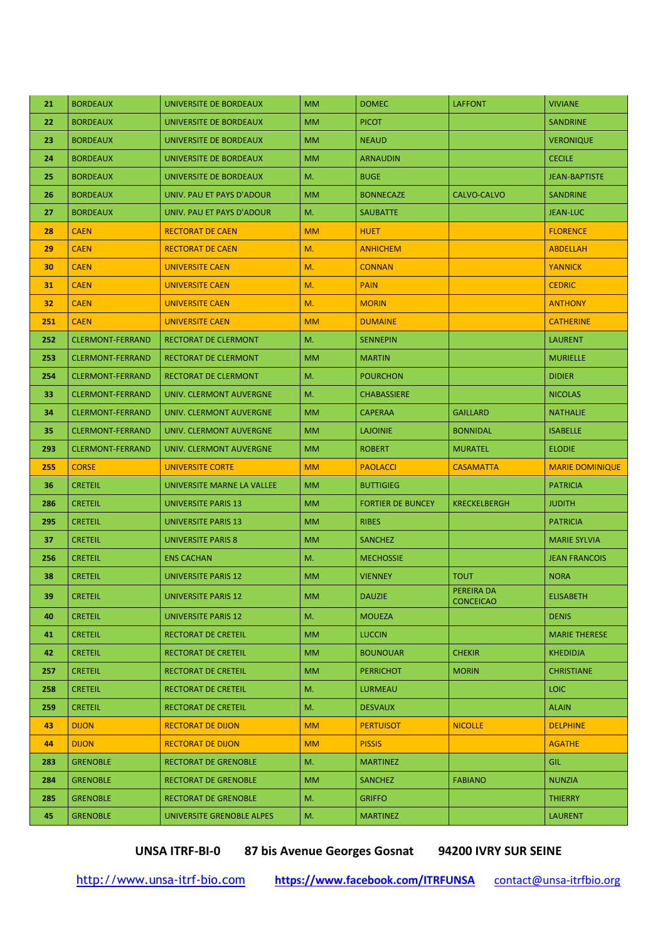| 21  | <b>BORDEAUX</b>         | UNIVERSITE DE BORDEAUX      | <b>MM</b>     | <b>DOMEC</b>             | <b>LAFFONT</b>      | <b>VIVIANE</b>         |
|-----|-------------------------|-----------------------------|---------------|--------------------------|---------------------|------------------------|
| 22  | <b>BORDEAUX</b>         | UNIVERSITE DE BORDEAUX      | <b>MM</b>     | <b>PICOT</b>             |                     | <b>SANDRINE</b>        |
| 23  | <b>BORDEAUX</b>         | UNIVERSITE DE BORDEAUX      | <b>MM</b>     | <b>NEAUD</b>             |                     | <b>VERONIQUE</b>       |
| 24  | <b>BORDEAUX</b>         | UNIVERSITE DE BORDEAUX      | <b>MM</b>     | <b>ARNAUDIN</b>          |                     | <b>CECILE</b>          |
| 25  | <b>BORDEAUX</b>         | UNIVERSITE DE BORDEAUX      | M.            | <b>BUGE</b>              |                     | <b>JEAN-BAPTISTE</b>   |
| 26  | <b>BORDEAUX</b>         | UNIV. PAU ET PAYS D'ADOUR   | <b>MM</b>     | <b>BONNECAZE</b>         | CALVO-CALVO         | <b>SANDRINE</b>        |
| 27  | <b>BORDEAUX</b>         | UNIV. PAU ET PAYS D'ADOUR   | M.            | <b>SAUBATTE</b>          |                     | <b>JEAN-LUC</b>        |
| 28  | <b>CAEN</b>             | <b>RECTORAT DE CAEN</b>     | <b>MM</b>     | <b>HUET</b>              |                     | <b>FLORENCE</b>        |
| 29  | <b>CAEN</b>             | <b>RECTORAT DE CAEN</b>     | M.            | <b>ANHICHEM</b>          |                     | <b>ABDELLAH</b>        |
| 30  | <b>CAEN</b>             | <b>UNIVERSITE CAEN</b>      | M.            | <b>CONNAN</b>            |                     | <b>YANNICK</b>         |
| 31  | <b>CAEN</b>             | <b>UNIVERSITE CAEN</b>      | M.            | <b>PAIN</b>              |                     | <b>CEDRIC</b>          |
| 32  | <b>CAEN</b>             | <b>UNIVERSITE CAEN</b>      | M.            | <b>MORIN</b>             |                     | <b>ANTHONY</b>         |
| 251 | <b>CAEN</b>             | <b>UNIVERSITE CAEN</b>      | <b>MM</b>     | <b>DUMAINE</b>           |                     | <b>CATHERINE</b>       |
| 252 | <b>CLERMONT-FERRAND</b> | <b>RECTORAT DE CLERMONT</b> | M.            | <b>SENNEPIN</b>          |                     | <b>LAURENT</b>         |
| 253 | <b>CLERMONT-FERRAND</b> | RECTORAT DE CLERMONT        | <b>MM</b>     | <b>MARTIN</b>            |                     | <b>MURIELLE</b>        |
| 254 | <b>CLERMONT-FERRAND</b> | RECTORAT DE CLERMONT        | M.            | <b>POURCHON</b>          |                     | <b>DIDIER</b>          |
| 33  | <b>CLERMONT-FERRAND</b> | UNIV. CLERMONT AUVERGNE     | M.            | <b>CHABASSIERE</b>       |                     | <b>NICOLAS</b>         |
| 34  | <b>CLERMONT-FERRAND</b> | UNIV. CLERMONT AUVERGNE     | <b>MM</b>     | <b>CAPERAA</b>           | <b>GAILLARD</b>     | <b>NATHALIE</b>        |
| 35  | <b>CLERMONT-FERRAND</b> | UNIV. CLERMONT AUVERGNE     | <b>MM</b>     | <b>LAJOINIE</b>          | <b>BONNIDAL</b>     | <b>ISABELLE</b>        |
| 293 | <b>CLERMONT-FERRAND</b> | UNIV. CLERMONT AUVERGNE     | <b>MM</b>     | <b>ROBERT</b>            | <b>MURATEL</b>      | <b>ELODIE</b>          |
|     |                         |                             |               |                          |                     |                        |
| 255 | <b>CORSE</b>            | <b>UNIVERSITE CORTE</b>     | <b>MM</b>     | <b>PAOLACCI</b>          | <b>CASAMATTA</b>    | <b>MARIE DOMINIQUE</b> |
| 36  | <b>CRETEIL</b>          | UNIVERSITE MARNE LA VALLEE  | <b>MM</b>     | <b>BUTTIGIEG</b>         |                     | <b>PATRICIA</b>        |
| 286 | <b>CRETEIL</b>          | <b>UNIVERSITE PARIS 13</b>  | <b>MM</b>     | <b>FORTIER DE BUNCEY</b> | <b>KRECKELBERGH</b> | <b>JUDITH</b>          |
| 295 | <b>CRETEIL</b>          | UNIVERSITE PARIS 13         | <b>MM</b>     | <b>RIBES</b>             |                     | <b>PATRICIA</b>        |
| 37  | <b>CRETEIL</b>          | <b>UNIVERSITE PARIS 8</b>   | <b>MM</b>     | <b>SANCHEZ</b>           |                     | <b>MARIE SYLVIA</b>    |
| 256 | <b>CRETEIL</b>          | <b>ENS CACHAN</b>           | M.            | <b>MECHOSSIE</b>         |                     | <b>JEAN FRANCOIS</b>   |
| 38  | <b>CRETEIL</b>          | <b>UNIVERSITE PARIS 12</b>  | <b>MM</b>     | <b>VIENNEY</b>           | <b>TOUT</b>         | <b>NORA</b>            |
| 39  | <b>CRETEIL</b>          | <b>UNIVERSITE PARIS 12</b>  | $\mathsf{MM}$ | <b>DAUZIE</b>            | PEREIRA DA          | <b>ELISABETH</b>       |
| 40  | <b>CRETEIL</b>          | <b>UNIVERSITE PARIS 12</b>  | M.            | <b>MOUEZA</b>            | <b>CONCEICAO</b>    | <b>DENIS</b>           |
| 41  | <b>CRETEIL</b>          | RECTORAT DE CRETEIL         | <b>MM</b>     | <b>LUCCIN</b>            |                     | <b>MARIE THERESE</b>   |
| 42  | <b>CRETEIL</b>          | RECTORAT DE CRETEIL         | <b>MM</b>     | <b>BOUNOUAR</b>          | <b>CHEKIR</b>       | <b>KHEDIDJA</b>        |
| 257 | <b>CRETEIL</b>          | RECTORAT DE CRETEIL         | <b>MM</b>     | <b>PERRICHOT</b>         | <b>MORIN</b>        | <b>CHRISTIANE</b>      |
| 258 | <b>CRETEIL</b>          | RECTORAT DE CRETEIL         | M.            | LURMEAU                  |                     | LOIC <sub></sub>       |
| 259 | <b>CRETEIL</b>          | <b>RECTORAT DE CRETEIL</b>  | M.            | <b>DESVAUX</b>           |                     | <b>ALAIN</b>           |
| 43  | <b>DIJON</b>            | <b>RECTORAT DE DIJON</b>    | <b>MM</b>     | <b>PERTUISOT</b>         | <b>NICOLLE</b>      | <b>DELPHINE</b>        |
| 44  | <b>DIJON</b>            | <b>RECTORAT DE DIJON</b>    | <b>MM</b>     | <b>PISSIS</b>            |                     | <b>AGATHE</b>          |
| 283 | <b>GRENOBLE</b>         | <b>RECTORAT DE GRENOBLE</b> | M.            | <b>MARTINEZ</b>          |                     | <b>GIL</b>             |
| 284 | <b>GRENOBLE</b>         | RECTORAT DE GRENOBLE        | <b>MM</b>     | <b>SANCHEZ</b>           | <b>FABIANO</b>      | <b>NUNZIA</b>          |
| 285 | <b>GRENOBLE</b>         | RECTORAT DE GRENOBLE        | M.            | <b>GRIFFO</b>            |                     | <b>THIERRY</b>         |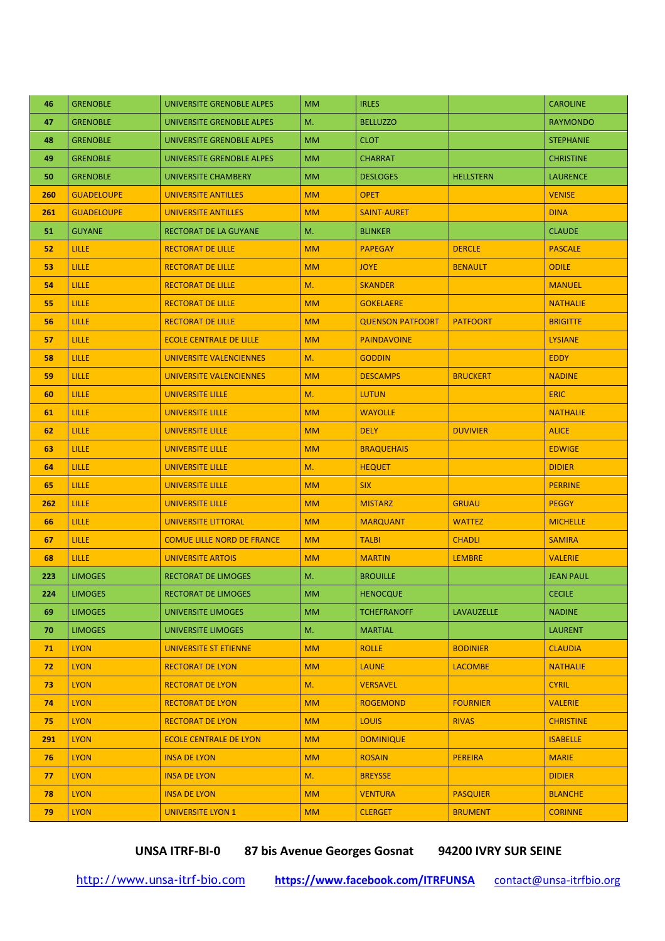| 46  | <b>GRENOBLE</b>   | UNIVERSITE GRENOBLE ALPES         | <b>MM</b> | <b>IRLES</b>            |                  | <b>CAROLINE</b>  |
|-----|-------------------|-----------------------------------|-----------|-------------------------|------------------|------------------|
| 47  | <b>GRENOBLE</b>   | UNIVERSITE GRENOBLE ALPES         | M.        | <b>BELLUZZO</b>         |                  | <b>RAYMONDO</b>  |
| 48  | <b>GRENOBLE</b>   | UNIVERSITE GRENOBLE ALPES         | <b>MM</b> | <b>CLOT</b>             |                  | <b>STEPHANIE</b> |
| 49  | <b>GRENOBLE</b>   | UNIVERSITE GRENOBLE ALPES         | <b>MM</b> | <b>CHARRAT</b>          |                  | <b>CHRISTINE</b> |
| 50  | <b>GRENOBLE</b>   | UNIVERSITE CHAMBERY               | <b>MM</b> | <b>DESLOGES</b>         | <b>HELLSTERN</b> | <b>LAURENCE</b>  |
| 260 | <b>GUADELOUPE</b> | <b>UNIVERSITE ANTILLES</b>        | <b>MM</b> | <b>OPET</b>             |                  | <b>VENISE</b>    |
| 261 | <b>GUADELOUPE</b> | <b>UNIVERSITE ANTILLES</b>        | <b>MM</b> | <b>SAINT-AURET</b>      |                  | <b>DINA</b>      |
| 51. | <b>GUYANE</b>     | <b>RECTORAT DE LA GUYANE</b>      | M.        | <b>BLINKER</b>          |                  | <b>CLAUDE</b>    |
| 52  | LILLE             | <b>RECTORAT DE LILLE</b>          | <b>MM</b> | <b>PAPEGAY</b>          | <b>DERCLE</b>    | <b>PASCALE</b>   |
| 53  | <b>LILLE</b>      | <b>RECTORAT DE LILLE</b>          | <b>MM</b> | <b>JOYE</b>             | <b>BENAULT</b>   | <b>ODILE</b>     |
| 54  | <b>LILLE</b>      | <b>RECTORAT DE LILLE</b>          | M.        | <b>SKANDER</b>          |                  | <b>MANUEL</b>    |
| 55  | <b>LILLE</b>      | <b>RECTORAT DE LILLE</b>          | <b>MM</b> | <b>GOKELAERE</b>        |                  | <b>NATHALIE</b>  |
| 56  | <b>LILLE</b>      | <b>RECTORAT DE LILLE</b>          | <b>MM</b> | <b>QUENSON PATFOORT</b> | <b>PATFOORT</b>  | <b>BRIGITTE</b>  |
| 57  | <b>LILLE</b>      | <b>ECOLE CENTRALE DE LILLE</b>    | <b>MM</b> | <b>PAINDAVOINE</b>      |                  | <b>LYSIANE</b>   |
| 58  | <b>LILLE</b>      | UNIVERSITE VALENCIENNES           | M.        | <b>GODDIN</b>           |                  | <b>EDDY</b>      |
| 59  | <b>LILLE</b>      | UNIVERSITE VALENCIENNES           | <b>MM</b> | <b>DESCAMPS</b>         | <b>BRUCKERT</b>  | <b>NADINE</b>    |
| 60  | <b>LILLE</b>      | <b>UNIVERSITE LILLE</b>           | M.        | <b>LUTUN</b>            |                  | <b>ERIC</b>      |
| 61  | <b>LILLE</b>      | <b>UNIVERSITE LILLE</b>           | <b>MM</b> | <b>WAYOLLE</b>          |                  | <b>NATHALIE</b>  |
| 62  | <b>LILLE</b>      | <b>UNIVERSITE LILLE</b>           | <b>MM</b> | <b>DELY</b>             | <b>DUVIVIER</b>  | <b>ALICE</b>     |
| 63  | <b>LILLE</b>      | <b>UNIVERSITE LILLE</b>           | <b>MM</b> | <b>BRAQUEHAIS</b>       |                  | <b>EDWIGE</b>    |
| 64  | <b>LILLE</b>      | <b>UNIVERSITE LILLE</b>           | M.        | <b>HEQUET</b>           |                  | <b>DIDIER</b>    |
| 65  | <b>LILLE</b>      | <b>UNIVERSITE LILLE</b>           | <b>MM</b> | <b>SIX</b>              |                  | <b>PERRINE</b>   |
| 262 | <b>LILLE</b>      | <b>UNIVERSITE LILLE</b>           | <b>MM</b> | <b>MISTARZ</b>          | <b>GRUAU</b>     | <b>PEGGY</b>     |
| 66  | <b>LILLE</b>      | <b>UNIVERSITE LITTORAL</b>        | <b>MM</b> | <b>MARQUANT</b>         | <b>WATTEZ</b>    | <b>MICHELLE</b>  |
| 67  | <b>LILLE</b>      | <b>COMUE LILLE NORD DE FRANCE</b> | <b>MM</b> | <b>TALBI</b>            | <b>CHADLI</b>    | <b>SAMIRA</b>    |
| 68  | LILLE             | <b>UNIVERSITE ARTOIS</b>          | <b>MM</b> | <b>MARTIN</b>           | <b>LEMBRE</b>    | <b>VALERIE</b>   |
| 223 | <b>LIMOGES</b>    | <b>RECTORAT DE LIMOGES</b>        | M.        | <b>BROUILLE</b>         |                  | <b>JEAN PAUL</b> |
| 224 | <b>LIMOGES</b>    | RECTORAT DE LIMOGES               | <b>MM</b> | <b>HENOCQUE</b>         |                  | <b>CECILE</b>    |
| 69  | <b>LIMOGES</b>    | UNIVERSITE LIMOGES                | <b>MM</b> | <b>TCHEFRANOFF</b>      | LAVAUZELLE       | <b>NADINE</b>    |
| 70  | <b>LIMOGES</b>    | <b>UNIVERSITE LIMOGES</b>         | M.        | <b>MARTIAL</b>          |                  | <b>LAURENT</b>   |
| 71  | <b>LYON</b>       | <b>UNIVERSITE ST ETIENNE</b>      | <b>MM</b> | <b>ROLLE</b>            | <b>BODINIER</b>  | <b>CLAUDIA</b>   |
| 72  | <b>LYON</b>       | <b>RECTORAT DE LYON</b>           | <b>MM</b> | <b>LAUNE</b>            | <b>LACOMBE</b>   | <b>NATHALIE</b>  |
| 73  | <b>LYON</b>       | <b>RECTORAT DE LYON</b>           | M.        | <b>VERSAVEL</b>         |                  | <b>CYRIL</b>     |
| 74  | <b>LYON</b>       | <b>RECTORAT DE LYON</b>           | <b>MM</b> | <b>ROGEMOND</b>         | <b>FOURNIER</b>  | <b>VALERIE</b>   |
| 75  | <b>LYON</b>       | <b>RECTORAT DE LYON</b>           | <b>MM</b> | <b>LOUIS</b>            | <b>RIVAS</b>     | <b>CHRISTINE</b> |
| 291 | <b>LYON</b>       | <b>ECOLE CENTRALE DE LYON</b>     | <b>MM</b> | <b>DOMINIQUE</b>        |                  | <b>ISABELLE</b>  |
| 76  | <b>LYON</b>       | <b>INSA DE LYON</b>               | <b>MM</b> | <b>ROSAIN</b>           | <b>PEREIRA</b>   | <b>MARIE</b>     |
| 77  | <b>LYON</b>       | <b>INSA DE LYON</b>               | M.        | <b>BREYSSE</b>          |                  | <b>DIDIER</b>    |
| 78  | <b>LYON</b>       | <b>INSA DE LYON</b>               | <b>MM</b> | <b>VENTURA</b>          | <b>PASQUIER</b>  | <b>BLANCHE</b>   |
| 79  | <b>LYON</b>       | <b>UNIVERSITE LYON 1</b>          | <b>MM</b> | <b>CLERGET</b>          | <b>BRUMENT</b>   | <b>CORINNE</b>   |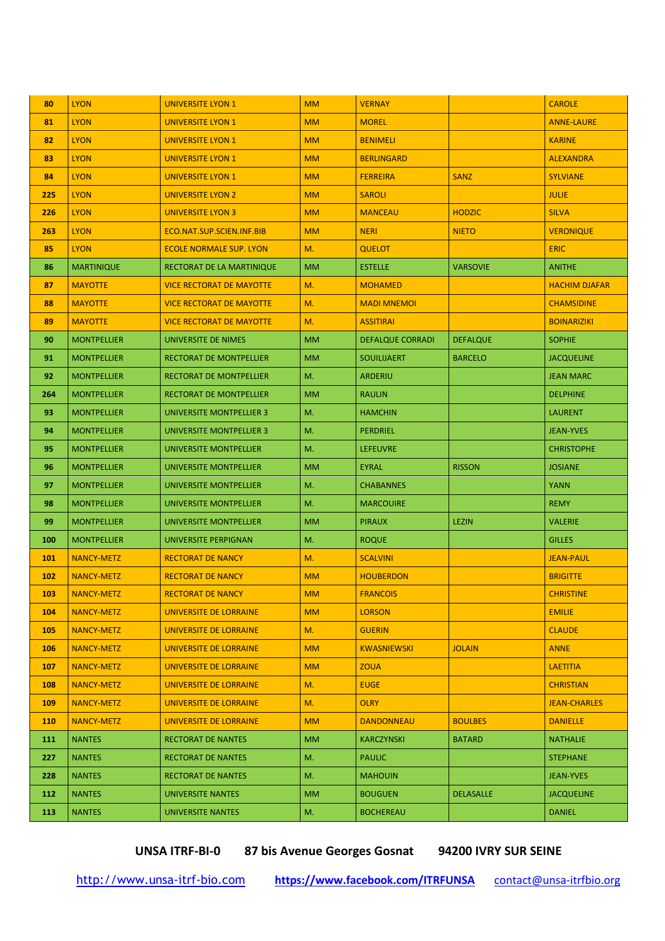| 80  | <b>LYON</b>        | <b>UNIVERSITE LYON 1</b>        | <b>MM</b> | <b>VERNAY</b>           |                  | <b>CAROLE</b>        |
|-----|--------------------|---------------------------------|-----------|-------------------------|------------------|----------------------|
| 81  | <b>LYON</b>        | <b>UNIVERSITE LYON 1</b>        | <b>MM</b> | <b>MOREL</b>            |                  | <b>ANNE-LAURE</b>    |
| 82  | <b>LYON</b>        | <b>UNIVERSITE LYON 1</b>        | <b>MM</b> | <b>BENIMELI</b>         |                  | <b>KARINE</b>        |
| 83  | <b>LYON</b>        | <b>UNIVERSITE LYON 1</b>        | <b>MM</b> | <b>BERLINGARD</b>       |                  | <b>ALEXANDRA</b>     |
| 84  | <b>LYON</b>        | <b>UNIVERSITE LYON 1</b>        | <b>MM</b> | <b>FERREIRA</b>         | <b>SANZ</b>      | <b>SYLVIANE</b>      |
| 225 | <b>LYON</b>        | <b>UNIVERSITE LYON 2</b>        | <b>MM</b> | <b>SAROLI</b>           |                  | <b>JULIE</b>         |
| 226 | <b>LYON</b>        | UNIVERSITE LYON 3               | <b>MM</b> | <b>MANCEAU</b>          | <b>HODZIC</b>    | <b>SILVA</b>         |
| 263 | <b>LYON</b>        | ECO.NAT.SUP.SCIEN.INF.BIB       | <b>MM</b> | <b>NERI</b>             | <b>NIETO</b>     | <b>VERONIQUE</b>     |
| 85  | <b>LYON</b>        | <b>ECOLE NORMALE SUP. LYON</b>  | M.        | <b>QUELOT</b>           |                  | <b>ERIC</b>          |
| 86  | <b>MARTINIQUE</b>  | RECTORAT DE LA MARTINIQUE       | <b>MM</b> | <b>ESTELLE</b>          | <b>VARSOVIE</b>  | <b>ANITHE</b>        |
| 87  | <b>MAYOTTE</b>     | <b>VICE RECTORAT DE MAYOTTE</b> | M.        | <b>MOHAMED</b>          |                  | <b>HACHIM DJAFAR</b> |
| 88  | <b>MAYOTTE</b>     | <b>VICE RECTORAT DE MAYOTTE</b> | M.        | <b>MADI MNEMOI</b>      |                  | <b>CHAMSIDINE</b>    |
| 89  | <b>MAYOTTE</b>     | <b>VICE RECTORAT DE MAYOTTE</b> | M.        | <b>ASSITIRAI</b>        |                  | <b>BOINARIZIKI</b>   |
| 90  | <b>MONTPELLIER</b> | UNIVERSITE DE NIMES             | <b>MM</b> | <b>DEFALQUE CORRADI</b> | <b>DEFALQUE</b>  | <b>SOPHIE</b>        |
| 91  | <b>MONTPELLIER</b> | <b>RECTORAT DE MONTPELLIER</b>  | <b>MM</b> | <b>SOUILIJAERT</b>      | <b>BARCELO</b>   | <b>JACQUELINE</b>    |
| 92  | <b>MONTPELLIER</b> | RECTORAT DE MONTPELLIER         | M.        | <b>ARDERIU</b>          |                  | <b>JEAN MARC</b>     |
| 264 | <b>MONTPELLIER</b> | RECTORAT DE MONTPELLIER         | <b>MM</b> | <b>RAULIN</b>           |                  | <b>DELPHINE</b>      |
| 93  | <b>MONTPELLIER</b> | UNIVERSITE MONTPELLIER 3        | M.        | <b>HAMCHIN</b>          |                  | <b>LAURENT</b>       |
| 94  | <b>MONTPELLIER</b> | UNIVERSITE MONTPELLIER 3        | M.        | <b>PERDRIEL</b>         |                  | <b>JEAN-YVES</b>     |
| 95  | <b>MONTPELLIER</b> | UNIVERSITE MONTPELLIER          | M.        | <b>LEFEUVRE</b>         |                  | <b>CHRISTOPHE</b>    |
| 96  | <b>MONTPELLIER</b> | UNIVERSITE MONTPELLIER          | <b>MM</b> | <b>EYRAL</b>            | <b>RISSON</b>    | <b>JOSIANE</b>       |
| 97  | <b>MONTPELLIER</b> | UNIVERSITE MONTPELLIER          | M.        | <b>CHABANNES</b>        |                  | <b>YANN</b>          |
| 98  | <b>MONTPELLIER</b> | UNIVERSITE MONTPELLIER          | M.        | <b>MARCOUIRE</b>        |                  | <b>REMY</b>          |
| 99  | <b>MONTPELLIER</b> | UNIVERSITE MONTPELLIER          | <b>MM</b> | <b>PIRAUX</b>           | <b>LEZIN</b>     | <b>VALERIE</b>       |
| 100 | <b>MONTPELLIER</b> | UNIVERSITE PERPIGNAN            | M.        | <b>ROQUE</b>            |                  | <b>GILLES</b>        |
| 101 | <b>NANCY-METZ</b>  | <b>RECTORAT DE NANCY</b>        | M.        | <b>SCALVINI</b>         |                  | <b>JEAN-PAUL</b>     |
| 102 | <b>NANCY-METZ</b>  | <b>RECTORAT DE NANCY</b>        | <b>MM</b> | <b>HOUBERDON</b>        |                  | <b>BRIGITTE</b>      |
| 103 | <b>NANCY-METZ</b>  | RECTORAT DE NANCY               | <b>MM</b> | <b>FRANCOIS</b>         |                  | <b>CHRISTINE</b>     |
| 104 | <b>NANCY-METZ</b>  | UNIVERSITE DE LORRAINE          | <b>MM</b> | <b>LORSON</b>           |                  | <b>EMILIE</b>        |
| 105 | <b>NANCY-METZ</b>  | UNIVERSITE DE LORRAINE          | M.        | <b>GUERIN</b>           |                  | <b>CLAUDE</b>        |
| 106 | <b>NANCY-METZ</b>  | UNIVERSITE DE LORRAINE          | <b>MM</b> | <b>KWASNIEWSKI</b>      | <b>JOLAIN</b>    | <b>ANNE</b>          |
| 107 | <b>NANCY-METZ</b>  | UNIVERSITE DE LORRAINE          | <b>MM</b> | <b>ZOUA</b>             |                  | <b>LAETITIA</b>      |
| 108 | <b>NANCY-METZ</b>  | UNIVERSITE DE LORRAINE          | M.        | <b>EUGE</b>             |                  | <b>CHRISTIAN</b>     |
| 109 | <b>NANCY-METZ</b>  | UNIVERSITE DE LORRAINE          | M.        | <b>OLRY</b>             |                  | <b>JEAN-CHARLES</b>  |
| 110 | <b>NANCY-METZ</b>  | <b>UNIVERSITE DE LORRAINE</b>   | <b>MM</b> | <b>DANDONNEAU</b>       | <b>BOULBES</b>   | <b>DANIELLE</b>      |
| 111 | <b>NANTES</b>      | RECTORAT DE NANTES              | <b>MM</b> | KARCZYNSKI              | <b>BATARD</b>    | <b>NATHALIE</b>      |
| 227 | <b>NANTES</b>      | <b>RECTORAT DE NANTES</b>       | M.        | <b>PAULIC</b>           |                  | <b>STEPHANE</b>      |
| 228 | <b>NANTES</b>      | RECTORAT DE NANTES              | M.        | <b>MAHOUIN</b>          |                  | JEAN-YVES            |
| 112 | <b>NANTES</b>      | UNIVERSITE NANTES               | <b>MM</b> | <b>BOUGUEN</b>          | <b>DELASALLE</b> | <b>JACQUELINE</b>    |
| 113 | <b>NANTES</b>      | UNIVERSITE NANTES               | M.        | <b>BOCHEREAU</b>        |                  | <b>DANIEL</b>        |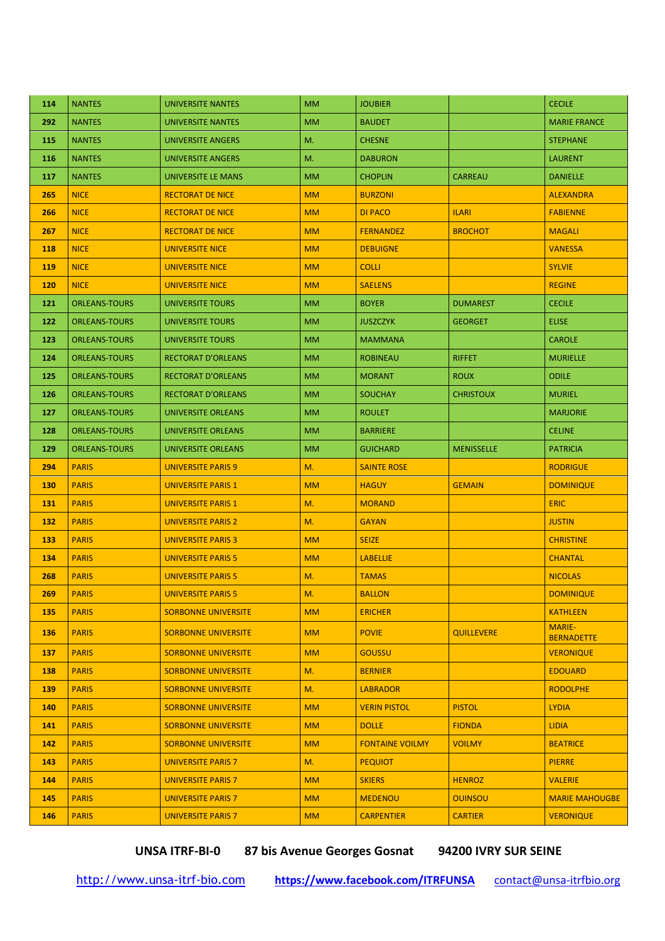| 114 | <b>NANTES</b>        | UNIVERSITE NANTES          | <b>MM</b> | <b>JOUBIER</b>         |                   | <b>CECILE</b>                      |
|-----|----------------------|----------------------------|-----------|------------------------|-------------------|------------------------------------|
| 292 | <b>NANTES</b>        | UNIVERSITE NANTES          | <b>MM</b> | <b>BAUDET</b>          |                   | <b>MARIE FRANCE</b>                |
| 115 | <b>NANTES</b>        | UNIVERSITE ANGERS          | M.        | <b>CHESNE</b>          |                   | <b>STEPHANE</b>                    |
| 116 | <b>NANTES</b>        | UNIVERSITE ANGERS          | M.        | <b>DABURON</b>         |                   | <b>LAURENT</b>                     |
| 117 | <b>NANTES</b>        | UNIVERSITE LE MANS         | <b>MM</b> | <b>CHOPLIN</b>         | <b>CARREAU</b>    | <b>DANIELLE</b>                    |
| 265 | <b>NICE</b>          | <b>RECTORAT DE NICE</b>    | <b>MM</b> | <b>BURZONI</b>         |                   | <b>ALEXANDRA</b>                   |
| 266 | <b>NICE</b>          | <b>RECTORAT DE NICE</b>    | <b>MM</b> | <b>DI PACO</b>         | <b>ILARI</b>      | <b>FABIENNE</b>                    |
| 267 | <b>NICE</b>          | <b>RECTORAT DE NICE</b>    | <b>MM</b> | <b>FERNANDEZ</b>       | <b>BROCHOT</b>    | <b>MAGALI</b>                      |
| 118 | <b>NICE</b>          | <b>UNIVERSITE NICE</b>     | <b>MM</b> | <b>DEBUIGNE</b>        |                   | <b>VANESSA</b>                     |
| 119 | <b>NICE</b>          | UNIVERSITE NICE            | <b>MM</b> | <b>COLLI</b>           |                   | <b>SYLVIE</b>                      |
| 120 | <b>NICE</b>          | <b>UNIVERSITE NICE</b>     | <b>MM</b> | <b>SAELENS</b>         |                   | <b>REGINE</b>                      |
| 121 | <b>ORLEANS-TOURS</b> | UNIVERSITE TOURS           | <b>MM</b> | <b>BOYER</b>           | <b>DUMAREST</b>   | <b>CECILE</b>                      |
| 122 | <b>ORLEANS-TOURS</b> | UNIVERSITE TOURS           | <b>MM</b> | <b>JUSZCZYK</b>        | <b>GEORGET</b>    | <b>ELISE</b>                       |
| 123 | <b>ORLEANS-TOURS</b> | <b>UNIVERSITE TOURS</b>    | <b>MM</b> | <b>MAMMANA</b>         |                   | <b>CAROLE</b>                      |
| 124 | <b>ORLEANS-TOURS</b> | <b>RECTORAT D'ORLEANS</b>  | <b>MM</b> | <b>ROBINEAU</b>        | <b>RIFFET</b>     | <b>MURIELLE</b>                    |
| 125 | <b>ORLEANS-TOURS</b> | <b>RECTORAT D'ORLEANS</b>  | <b>MM</b> | <b>MORANT</b>          | <b>ROUX</b>       | <b>ODILE</b>                       |
| 126 | <b>ORLEANS-TOURS</b> | <b>RECTORAT D'ORLEANS</b>  | <b>MM</b> | <b>SOUCHAY</b>         | <b>CHRISTOUX</b>  | <b>MURIEL</b>                      |
| 127 | <b>ORLEANS-TOURS</b> | UNIVERSITE ORLEANS         | <b>MM</b> | <b>ROULET</b>          |                   | <b>MARJORIE</b>                    |
| 128 | <b>ORLEANS-TOURS</b> | UNIVERSITE ORLEANS         | <b>MM</b> | <b>BARRIERE</b>        |                   | <b>CELINE</b>                      |
| 129 | <b>ORLEANS-TOURS</b> | UNIVERSITE ORLEANS         | <b>MM</b> | <b>GUICHARD</b>        | <b>MENISSELLE</b> | <b>PATRICIA</b>                    |
| 294 | <b>PARIS</b>         | UNIVERSITE PARIS 9         | M.        | <b>SAINTE ROSE</b>     |                   | <b>RODRIGUE</b>                    |
| 130 | <b>PARIS</b>         | <b>UNIVERSITE PARIS 1</b>  | <b>MM</b> | <b>HAGUY</b>           | <b>GEMAIN</b>     | <b>DOMINIQUE</b>                   |
| 131 | <b>PARIS</b>         | <b>UNIVERSITE PARIS 1</b>  | M.        | <b>MORAND</b>          |                   | <b>ERIC</b>                        |
| 132 | <b>PARIS</b>         | <b>UNIVERSITE PARIS 2</b>  | M.        | <b>GAYAN</b>           |                   | <b>JUSTIN</b>                      |
| 133 | <b>PARIS</b>         | <b>UNIVERSITE PARIS 3</b>  | <b>MM</b> | <b>SEIZE</b>           |                   | <b>CHRISTINE</b>                   |
| 134 | <b>PARIS</b>         | <b>UNIVERSITE PARIS 5</b>  | <b>MM</b> | <b>LABELLIE</b>        |                   | <b>CHANTAL</b>                     |
| 268 | <b>PARIS</b>         | <b>UNIVERSITE PARIS 5</b>  | M.        | <b>TAMAS</b>           |                   | <b>NICOLAS</b>                     |
| 269 | <b>PARIS</b>         | <b>UNIVERSITE PARIS 5</b>  | M.        | <b>BALLON</b>          |                   | <b>DOMINIQUE</b>                   |
| 135 | <b>PARIS</b>         | <b>SORBONNE UNIVERSITE</b> | <b>MM</b> | <b>ERICHER</b>         |                   | <b>KATHLEEN</b>                    |
| 136 | <b>PARIS</b>         | <b>SORBONNE UNIVERSITE</b> | <b>MM</b> | <b>POVIE</b>           | <b>QUILLEVERE</b> | <b>MARIE-</b><br><b>BERNADETTE</b> |
| 137 | <b>PARIS</b>         | <b>SORBONNE UNIVERSITE</b> | <b>MM</b> | <b>GOUSSU</b>          |                   | <b>VERONIQUE</b>                   |
| 138 | <b>PARIS</b>         | <b>SORBONNE UNIVERSITE</b> | M.        | <b>BERNIER</b>         |                   | <b>EDOUARD</b>                     |
| 139 | <b>PARIS</b>         | <b>SORBONNE UNIVERSITE</b> | M.        | <b>LABRADOR</b>        |                   | <b>RODOLPHE</b>                    |
| 140 | <b>PARIS</b>         | <b>SORBONNE UNIVERSITE</b> | <b>MM</b> | <b>VERIN PISTOL</b>    | <b>PISTOL</b>     | <b>LYDIA</b>                       |
| 141 | <b>PARIS</b>         | <b>SORBONNE UNIVERSITE</b> | <b>MM</b> | <b>DOLLE</b>           | <b>FIONDA</b>     | <b>LIDIA</b>                       |
| 142 | <b>PARIS</b>         | <b>SORBONNE UNIVERSITE</b> | <b>MM</b> | <b>FONTAINE VOILMY</b> | <b>VOILMY</b>     | <b>BEATRICE</b>                    |
| 143 | <b>PARIS</b>         | <b>UNIVERSITE PARIS 7</b>  | M.        | <b>PEQUIOT</b>         |                   | <b>PIERRE</b>                      |
| 144 | <b>PARIS</b>         | UNIVERSITE PARIS 7         | <b>MM</b> | <b>SKIERS</b>          | <b>HENROZ</b>     | <b>VALERIE</b>                     |
| 145 | <b>PARIS</b>         | UNIVERSITE PARIS 7         | <b>MM</b> | <b>MEDENOU</b>         | <b>OUINSOU</b>    | <b>MARIE MAHOUGBE</b>              |
| 146 | <b>PARIS</b>         | <b>UNIVERSITE PARIS 7</b>  | <b>MM</b> | <b>CARPENTIER</b>      | <b>CARTIER</b>    | <b>VERONIQUE</b>                   |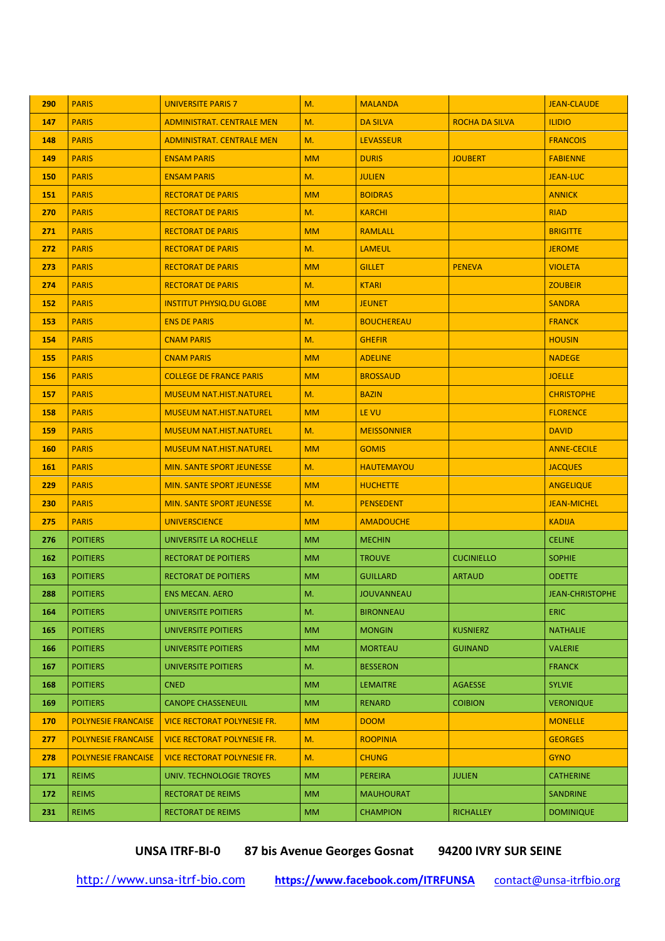| 290 | <b>PARIS</b>               | <b>UNIVERSITE PARIS 7</b>          | M.        | <b>MALANDA</b>     |                       | <b>JEAN-CLAUDE</b>     |
|-----|----------------------------|------------------------------------|-----------|--------------------|-----------------------|------------------------|
| 147 | <b>PARIS</b>               | <b>ADMINISTRAT. CENTRALE MEN</b>   | M.        | <b>DA SILVA</b>    | <b>ROCHA DA SILVA</b> | <b>ILIDIO</b>          |
| 148 | <b>PARIS</b>               | <b>ADMINISTRAT. CENTRALE MEN</b>   | M.        | <b>LEVASSEUR</b>   |                       | <b>FRANCOIS</b>        |
| 149 | <b>PARIS</b>               | <b>ENSAM PARIS</b>                 | <b>MM</b> | <b>DURIS</b>       | <b>JOUBERT</b>        | <b>FABIENNE</b>        |
| 150 | <b>PARIS</b>               | <b>ENSAM PARIS</b>                 | M.        | <b>JULIEN</b>      |                       | <b>JEAN-LUC</b>        |
| 151 | <b>PARIS</b>               | <b>RECTORAT DE PARIS</b>           | <b>MM</b> | <b>BOIDRAS</b>     |                       | <b>ANNICK</b>          |
| 270 | <b>PARIS</b>               | <b>RECTORAT DE PARIS</b>           | M.        | <b>KARCHI</b>      |                       | <b>RIAD</b>            |
| 271 | <b>PARIS</b>               | <b>RECTORAT DE PARIS</b>           | <b>MM</b> | <b>RAMLALL</b>     |                       | <b>BRIGITTE</b>        |
| 272 | <b>PARIS</b>               | <b>RECTORAT DE PARIS</b>           | M.        | <b>LAMEUL</b>      |                       | <b>JEROME</b>          |
| 273 | <b>PARIS</b>               | <b>RECTORAT DE PARIS</b>           | <b>MM</b> | <b>GILLET</b>      | <b>PENEVA</b>         | <b>VIOLETA</b>         |
| 274 | <b>PARIS</b>               | <b>RECTORAT DE PARIS</b>           | M.        | <b>KTARI</b>       |                       | <b>ZOUBEIR</b>         |
| 152 | <b>PARIS</b>               | <b>INSTITUT PHYSIQ.DU GLOBE</b>    | <b>MM</b> | <b>JEUNET</b>      |                       | <b>SANDRA</b>          |
| 153 | <b>PARIS</b>               | <b>ENS DE PARIS</b>                | M.        | <b>BOUCHEREAU</b>  |                       | <b>FRANCK</b>          |
| 154 | <b>PARIS</b>               | <b>CNAM PARIS</b>                  | M.        | <b>GHEFIR</b>      |                       | <b>HOUSIN</b>          |
| 155 | <b>PARIS</b>               | <b>CNAM PARIS</b>                  | <b>MM</b> | <b>ADELINE</b>     |                       | <b>NADEGE</b>          |
| 156 | <b>PARIS</b>               | <b>COLLEGE DE FRANCE PARIS</b>     | <b>MM</b> | <b>BROSSAUD</b>    |                       | <b>JOELLE</b>          |
| 157 | <b>PARIS</b>               | <b>MUSEUM NAT.HIST.NATUREL</b>     | M.        | <b>BAZIN</b>       |                       | <b>CHRISTOPHE</b>      |
| 158 | <b>PARIS</b>               | <b>MUSEUM NAT.HIST.NATUREL</b>     | <b>MM</b> | LE VU              |                       | <b>FLORENCE</b>        |
| 159 | <b>PARIS</b>               | <b>MUSEUM NAT.HIST.NATUREL</b>     | M.        | <b>MEISSONNIER</b> |                       | <b>DAVID</b>           |
| 160 | <b>PARIS</b>               | <b>MUSEUM NAT.HIST.NATUREL</b>     | <b>MM</b> | <b>GOMIS</b>       |                       | <b>ANNE-CECILE</b>     |
| 161 | <b>PARIS</b>               | <b>MIN. SANTE SPORT JEUNESSE</b>   | M.        | <b>HAUTEMAYOU</b>  |                       | <b>JACQUES</b>         |
| 229 | <b>PARIS</b>               | <b>MIN. SANTE SPORT JEUNESSE</b>   | <b>MM</b> | <b>HUCHETTE</b>    |                       | <b>ANGELIQUE</b>       |
| 230 | <b>PARIS</b>               | <b>MIN. SANTE SPORT JEUNESSE</b>   | M.        | <b>PENSEDENT</b>   |                       | <b>JEAN-MICHEL</b>     |
| 275 | <b>PARIS</b>               | <b>UNIVERSCIENCE</b>               | <b>MM</b> | <b>AMADOUCHE</b>   |                       | <b>KADIJA</b>          |
| 276 | <b>POITIERS</b>            | UNIVERSITE LA ROCHELLE             | <b>MM</b> | <b>MECHIN</b>      |                       | <b>CELINE</b>          |
| 162 | <b>POITIERS</b>            | <b>RECTORAT DE POITIERS</b>        | <b>MM</b> | <b>TROUVE</b>      | <b>CUCINIELLO</b>     | <b>SOPHIE</b>          |
| 163 | <b>POITIERS</b>            | RECTORAT DE POITIERS               | <b>MM</b> | <b>GUILLARD</b>    | <b>ARTAUD</b>         | <b>ODETTE</b>          |
| 288 | <b>POITIERS</b>            | ENS MECAN. AERO                    | M.        | <b>JOUVANNEAU</b>  |                       | <b>JEAN-CHRISTOPHE</b> |
| 164 | <b>POITIERS</b>            | UNIVERSITE POITIERS                | M.        | <b>BIRONNEAU</b>   |                       | <b>ERIC</b>            |
| 165 | <b>POITIERS</b>            | UNIVERSITE POITIERS                | <b>MM</b> | <b>MONGIN</b>      | <b>KUSNIERZ</b>       | <b>NATHALIE</b>        |
| 166 | <b>POITIERS</b>            | UNIVERSITE POITIERS                | <b>MM</b> | <b>MORTEAU</b>     | <b>GUINAND</b>        | <b>VALERIE</b>         |
| 167 | <b>POITIERS</b>            | <b>UNIVERSITE POITIERS</b>         | M.        | <b>BESSERON</b>    |                       | <b>FRANCK</b>          |
| 168 | <b>POITIERS</b>            | <b>CNED</b>                        | <b>MM</b> | <b>LEMAITRE</b>    | <b>AGAESSE</b>        | <b>SYLVIE</b>          |
| 169 | <b>POITIERS</b>            | <b>CANOPE CHASSENEUIL</b>          | <b>MM</b> | <b>RENARD</b>      | <b>COIBION</b>        | <b>VERONIQUE</b>       |
| 170 | <b>POLYNESIE FRANCAISE</b> | <b>VICE RECTORAT POLYNESIE FR.</b> | <b>MM</b> | <b>DOOM</b>        |                       | <b>MONELLE</b>         |
| 277 | <b>POLYNESIE FRANCAISE</b> | <b>VICE RECTORAT POLYNESIE FR.</b> | M.        | <b>ROOPINIA</b>    |                       | <b>GEORGES</b>         |
| 278 | <b>POLYNESIE FRANCAISE</b> | <b>VICE RECTORAT POLYNESIE FR.</b> | M.        | <b>CHUNG</b>       |                       | <b>GYNO</b>            |
| 171 | <b>REIMS</b>               | UNIV. TECHNOLOGIE TROYES           | <b>MM</b> | <b>PEREIRA</b>     | <b>JULIEN</b>         | <b>CATHERINE</b>       |
| 172 | <b>REIMS</b>               | RECTORAT DE REIMS                  | <b>MM</b> | <b>MAUHOURAT</b>   |                       | <b>SANDRINE</b>        |
| 231 | <b>REIMS</b>               | RECTORAT DE REIMS                  | <b>MM</b> | <b>CHAMPION</b>    | <b>RICHALLEY</b>      | <b>DOMINIQUE</b>       |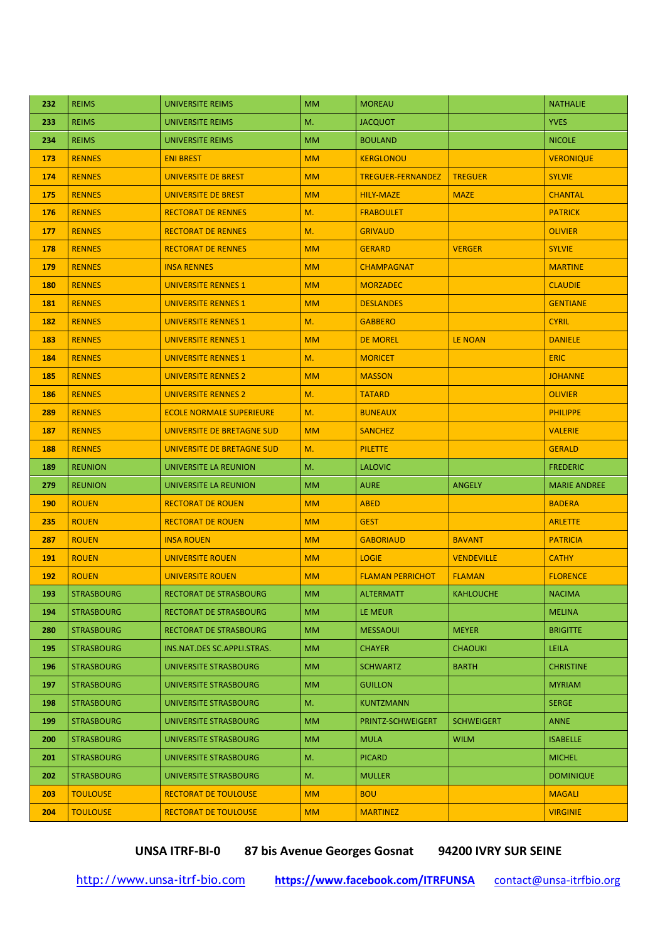| 232 | <b>REIMS</b>      | <b>UNIVERSITE REIMS</b>         | <b>MM</b> | <b>MOREAU</b>            |                   | <b>NATHALIE</b>     |
|-----|-------------------|---------------------------------|-----------|--------------------------|-------------------|---------------------|
| 233 | <b>REIMS</b>      | UNIVERSITE REIMS                | M.        | <b>JACQUOT</b>           |                   | <b>YVES</b>         |
| 234 | <b>REIMS</b>      | UNIVERSITE REIMS                | <b>MM</b> | <b>BOULAND</b>           |                   | <b>NICOLE</b>       |
| 173 | <b>RENNES</b>     | <b>ENI BREST</b>                | <b>MM</b> | <b>KERGLONOU</b>         |                   | <b>VERONIQUE</b>    |
| 174 | <b>RENNES</b>     | <b>UNIVERSITE DE BREST</b>      | <b>MM</b> | <b>TREGUER-FERNANDEZ</b> | <b>TREGUER</b>    | <b>SYLVIE</b>       |
| 175 | <b>RENNES</b>     | <b>UNIVERSITE DE BREST</b>      | <b>MM</b> | <b>HILY-MAZE</b>         | <b>MAZE</b>       | <b>CHANTAL</b>      |
| 176 | <b>RENNES</b>     | <b>RECTORAT DE RENNES</b>       | M.        | <b>FRABOULET</b>         |                   | <b>PATRICK</b>      |
| 177 | <b>RENNES</b>     | <b>RECTORAT DE RENNES</b>       | M.        | <b>GRIVAUD</b>           |                   | <b>OLIVIER</b>      |
| 178 | <b>RENNES</b>     | <b>RECTORAT DE RENNES</b>       | <b>MM</b> | <b>GERARD</b>            | <b>VERGER</b>     | <b>SYLVIE</b>       |
| 179 | <b>RENNES</b>     | <b>INSA RENNES</b>              | <b>MM</b> | <b>CHAMPAGNAT</b>        |                   | <b>MARTINE</b>      |
| 180 | <b>RENNES</b>     | <b>UNIVERSITE RENNES 1</b>      | <b>MM</b> | <b>MORZADEC</b>          |                   | <b>CLAUDIE</b>      |
| 181 | <b>RENNES</b>     | <b>UNIVERSITE RENNES 1</b>      | <b>MM</b> | <b>DESLANDES</b>         |                   | <b>GENTIANE</b>     |
| 182 | <b>RENNES</b>     | <b>UNIVERSITE RENNES 1</b>      | M.        | <b>GABBERO</b>           |                   | <b>CYRIL</b>        |
| 183 | <b>RENNES</b>     | <b>UNIVERSITE RENNES 1</b>      | <b>MM</b> | <b>DE MOREL</b>          | <b>LE NOAN</b>    | <b>DANIELE</b>      |
| 184 | <b>RENNES</b>     | <b>UNIVERSITE RENNES 1</b>      | M.        | <b>MORICET</b>           |                   | <b>ERIC</b>         |
| 185 | <b>RENNES</b>     | <b>UNIVERSITE RENNES 2</b>      | <b>MM</b> | <b>MASSON</b>            |                   | <b>JOHANNE</b>      |
| 186 | <b>RENNES</b>     | <b>UNIVERSITE RENNES 2</b>      | M.        | <b>TATARD</b>            |                   | <b>OLIVIER</b>      |
| 289 | <b>RENNES</b>     | <b>ECOLE NORMALE SUPERIEURE</b> | M.        | <b>BUNEAUX</b>           |                   | <b>PHILIPPE</b>     |
| 187 | <b>RENNES</b>     | UNIVERSITE DE BRETAGNE SUD      | <b>MM</b> | <b>SANCHEZ</b>           |                   | <b>VALERIE</b>      |
| 188 | <b>RENNES</b>     | UNIVERSITE DE BRETAGNE SUD      | M.        | <b>PILETTE</b>           |                   | <b>GERALD</b>       |
| 189 | <b>REUNION</b>    | UNIVERSITE LA REUNION           | M.        | <b>LALOVIC</b>           |                   | <b>FREDERIC</b>     |
| 279 | <b>REUNION</b>    | UNIVERSITE LA REUNION           | <b>MM</b> | <b>AURE</b>              | <b>ANGELY</b>     | <b>MARIE ANDREE</b> |
| 190 | <b>ROUEN</b>      | <b>RECTORAT DE ROUEN</b>        | <b>MM</b> | <b>ABED</b>              |                   | <b>BADERA</b>       |
| 235 | <b>ROUEN</b>      | <b>RECTORAT DE ROUEN</b>        | <b>MM</b> | <b>GEST</b>              |                   | <b>ARLETTE</b>      |
| 287 | <b>ROUEN</b>      | <b>INSA ROUEN</b>               | <b>MM</b> | <b>GABORIAUD</b>         | <b>BAVANT</b>     | <b>PATRICIA</b>     |
| 191 | <b>ROUEN</b>      | <b>UNIVERSITE ROUEN</b>         | <b>MM</b> | <b>LOGIE</b>             | <b>VENDEVILLE</b> | <b>CATHY</b>        |
| 192 | <b>ROUEN</b>      | <b>UNIVERSITE ROUEN</b>         | <b>MM</b> | <b>FLAMAN PERRICHOT</b>  | <b>FLAMAN</b>     | <b>FLORENCE</b>     |
| 193 | <b>STRASBOURG</b> | RECTORAT DE STRASBOURG          | <b>MM</b> | ALTERMATT                | <b>KAHLOUCHE</b>  | <b>NACIMA</b>       |
| 194 | <b>STRASBOURG</b> | <b>RECTORAT DE STRASBOURG</b>   | <b>MM</b> | LE MEUR                  |                   | <b>MELINA</b>       |
| 280 | <b>STRASBOURG</b> | <b>RECTORAT DE STRASBOURG</b>   | <b>MM</b> | <b>MESSAOUI</b>          | <b>MEYER</b>      | <b>BRIGITTE</b>     |
| 195 | <b>STRASBOURG</b> | INS.NAT.DES SC.APPLI.STRAS.     | <b>MM</b> | <b>CHAYER</b>            | <b>CHAOUKI</b>    | LEILA               |
| 196 | <b>STRASBOURG</b> | UNIVERSITE STRASBOURG           | <b>MM</b> | <b>SCHWARTZ</b>          | <b>BARTH</b>      | <b>CHRISTINE</b>    |
| 197 | <b>STRASBOURG</b> | UNIVERSITE STRASBOURG           | <b>MM</b> | <b>GUILLON</b>           |                   | <b>MYRIAM</b>       |
| 198 | <b>STRASBOURG</b> | UNIVERSITE STRASBOURG           | M.        | <b>KUNTZMANN</b>         |                   | <b>SERGE</b>        |
| 199 | <b>STRASBOURG</b> | UNIVERSITE STRASBOURG           | <b>MM</b> | PRINTZ-SCHWEIGERT        | <b>SCHWEIGERT</b> | <b>ANNE</b>         |
| 200 | <b>STRASBOURG</b> | UNIVERSITE STRASBOURG           | <b>MM</b> | <b>MULA</b>              | <b>WILM</b>       | <b>ISABELLE</b>     |
| 201 | <b>STRASBOURG</b> | UNIVERSITE STRASBOURG           | M.        | <b>PICARD</b>            |                   | <b>MICHEL</b>       |
| 202 | <b>STRASBOURG</b> | UNIVERSITE STRASBOURG           | M.        | <b>MULLER</b>            |                   | <b>DOMINIQUE</b>    |
| 203 | <b>TOULOUSE</b>   | <b>RECTORAT DE TOULOUSE</b>     | <b>MM</b> | <b>BOU</b>               |                   | <b>MAGALI</b>       |
| 204 | <b>TOULOUSE</b>   | <b>RECTORAT DE TOULOUSE</b>     | <b>MM</b> | <b>MARTINEZ</b>          |                   | <b>VIRGINIE</b>     |